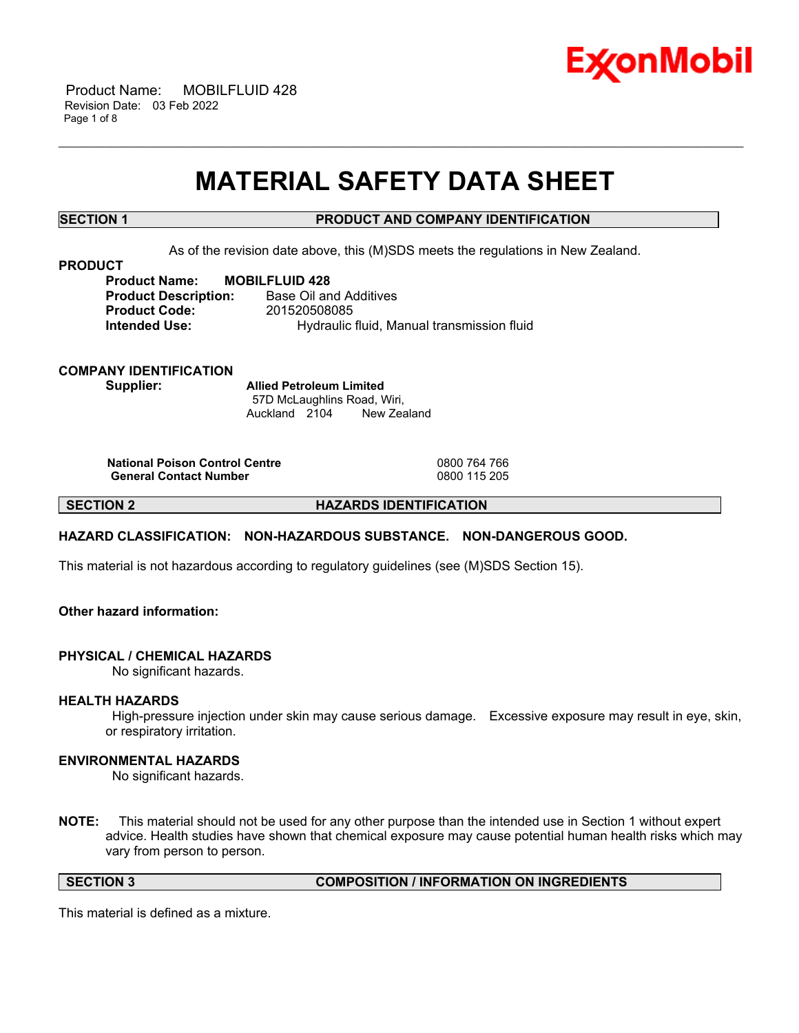

 Product Name: MOBILFLUID 428 Revision Date: 03 Feb 2022 Page 1 of 8

## **MATERIAL SAFETY DATA SHEET**

\_\_\_\_\_\_\_\_\_\_\_\_\_\_\_\_\_\_\_\_\_\_\_\_\_\_\_\_\_\_\_\_\_\_\_\_\_\_\_\_\_\_\_\_\_\_\_\_\_\_\_\_\_\_\_\_\_\_\_\_\_\_\_\_\_\_\_\_\_\_\_\_\_\_\_\_\_\_\_\_\_\_\_\_\_\_\_\_\_\_\_\_\_\_\_\_\_\_\_\_\_\_\_\_\_\_\_\_\_\_\_\_\_\_\_\_\_\_

## **SECTION 1 PRODUCT AND COMPANY IDENTIFICATION**

As of the revision date above, this (M)SDS meets the regulations in New Zealand.

**PRODUCT**

**Product Name: MOBILFLUID 428 Product Description:** Base Oil and Additives **Product Code:** 201520508085 **Intended Use:** Hydraulic fluid, Manual transmission fluid

**COMPANY IDENTIFICATION Supplier: Allied Petroleum Limited**

57D McLaughlins Road, Wiri, Auckland 2104 New Zealand

**National Poison Control Centre** 0800 764 766 **General Contact Number** 

**SECTION 2 HAZARDS IDENTIFICATION**

#### **HAZARD CLASSIFICATION: NON-HAZARDOUS SUBSTANCE. NON-DANGEROUS GOOD.**

This material is not hazardous according to regulatory guidelines (see (M)SDS Section 15).

## **Other hazard information:**

#### **PHYSICAL / CHEMICAL HAZARDS**

No significant hazards.

#### **HEALTH HAZARDS**

High-pressure injection under skin may cause serious damage. Excessive exposure may result in eye, skin, or respiratory irritation.

#### **ENVIRONMENTAL HAZARDS**

No significant hazards.

**NOTE:** This material should not be used for any other purpose than the intended use in Section 1 without expert advice. Health studies have shown that chemical exposure may cause potential human health risks which may vary from person to person.

**SECTION 3 COMPOSITION / INFORMATION ON INGREDIENTS**

This material is defined as a mixture.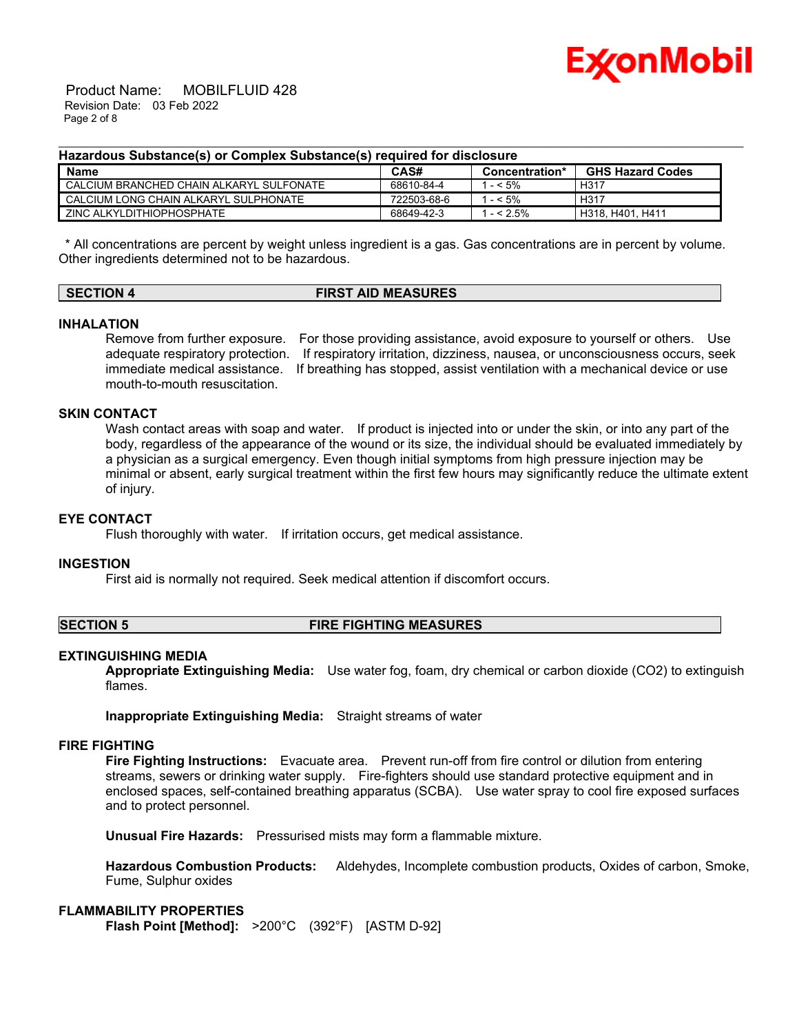

 Product Name: MOBILFLUID 428 Revision Date: 03 Feb 2022 Page 2 of 8

#### **Hazardous Substance(s) or Complex Substance(s) required for disclosure**

| Name                                     | CAS#        | Concentration* | <b>GHS Hazard Codes</b> |
|------------------------------------------|-------------|----------------|-------------------------|
| CALCIUM BRANCHED CHAIN ALKARYL SULFONATE | 68610-84-4  | $-5\%$         | H <sub>317</sub>        |
| Ⅰ CALCIUM LONG CHAIN ALKARYL SULPHONATE. | 722503-68-6 | $-5\%$         | H317                    |
| ZINC ALKYLDITHIOPHOSPHATE                | 68649-42-3  | $- < 2.5\%$    | H318, H401, H411        |

\_\_\_\_\_\_\_\_\_\_\_\_\_\_\_\_\_\_\_\_\_\_\_\_\_\_\_\_\_\_\_\_\_\_\_\_\_\_\_\_\_\_\_\_\_\_\_\_\_\_\_\_\_\_\_\_\_\_\_\_\_\_\_\_\_\_\_\_\_\_\_\_\_\_\_\_\_\_\_\_\_\_\_\_\_\_\_\_\_\_\_\_\_\_\_\_\_\_\_\_\_\_\_\_\_\_\_\_\_\_\_\_\_\_\_\_\_\_

\* All concentrations are percent by weight unless ingredient is a gas. Gas concentrations are in percent by volume. Other ingredients determined not to be hazardous.

| <b>SECTION 4</b> | <b>FIRST AID MEASURES</b> |
|------------------|---------------------------|
|                  |                           |

#### **INHALATION**

Remove from further exposure. For those providing assistance, avoid exposure to yourself or others. Use adequate respiratory protection. If respiratory irritation, dizziness, nausea, or unconsciousness occurs, seek immediate medical assistance. If breathing has stopped, assist ventilation with a mechanical device or use mouth-to-mouth resuscitation.

#### **SKIN CONTACT**

Wash contact areas with soap and water. If product is injected into or under the skin, or into any part of the body, regardless of the appearance of the wound or its size, the individual should be evaluated immediately by a physician as a surgical emergency. Even though initial symptoms from high pressure injection may be minimal or absent, early surgical treatment within the first few hours may significantly reduce the ultimate extent of injury.

#### **EYE CONTACT**

Flush thoroughly with water. If irritation occurs, get medical assistance.

#### **INGESTION**

First aid is normally not required. Seek medical attention if discomfort occurs.

#### **SECTION 5 FIRE FIGHTING MEASURES**

#### **EXTINGUISHING MEDIA**

**Appropriate Extinguishing Media:** Use water fog, foam, dry chemical or carbon dioxide (CO2) to extinguish flames.

**Inappropriate Extinguishing Media:** Straight streams of water

#### **FIRE FIGHTING**

**Fire Fighting Instructions:** Evacuate area. Prevent run-off from fire control or dilution from entering streams, sewers or drinking water supply. Fire-fighters should use standard protective equipment and in enclosed spaces, self-contained breathing apparatus (SCBA). Use water spray to cool fire exposed surfaces and to protect personnel.

**Unusual Fire Hazards:** Pressurised mists may form a flammable mixture.

**Hazardous Combustion Products:** Aldehydes, Incomplete combustion products, Oxides of carbon, Smoke, Fume, Sulphur oxides

## **FLAMMABILITY PROPERTIES**

**Flash Point [Method]:** >200°C (392°F) [ASTM D-92]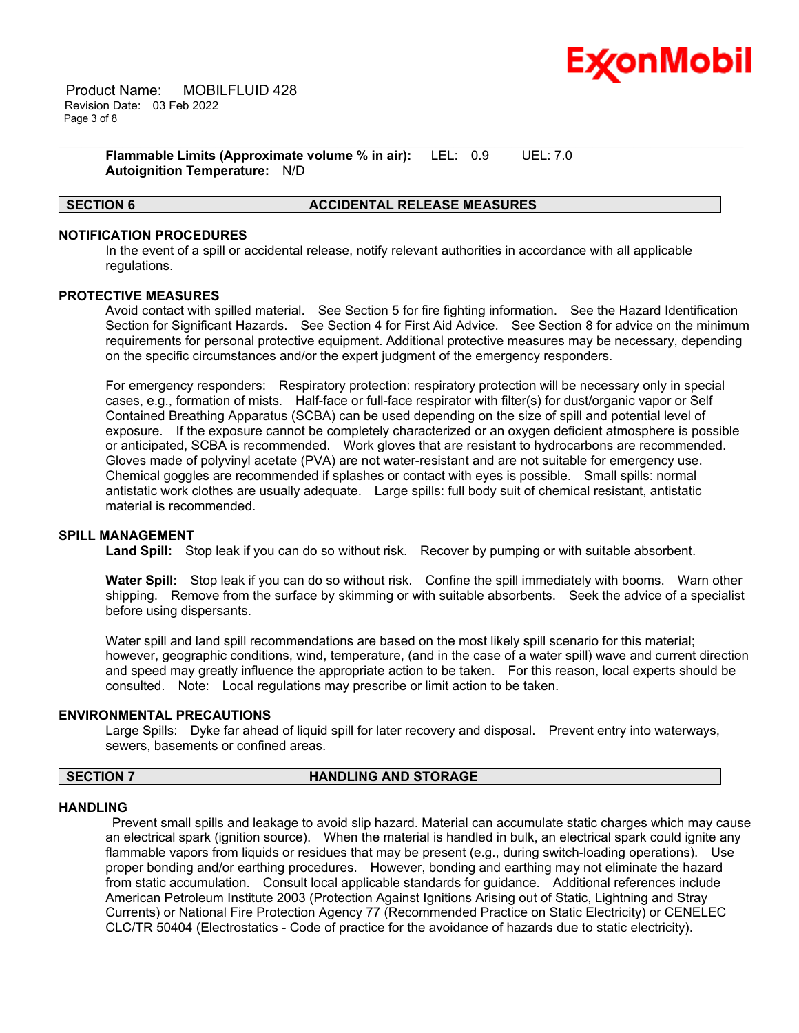

 Product Name: MOBILFLUID 428 Revision Date: 03 Feb 2022 Page 3 of 8

> **Flammable Limits (Approximate volume % in air):** LEL: 0.9 UEL: 7.0 **Autoignition Temperature:** N/D

## **SECTION 6 ACCIDENTAL RELEASE MEASURES**

#### **NOTIFICATION PROCEDURES**

In the event of a spill or accidental release, notify relevant authorities in accordance with all applicable regulations.

\_\_\_\_\_\_\_\_\_\_\_\_\_\_\_\_\_\_\_\_\_\_\_\_\_\_\_\_\_\_\_\_\_\_\_\_\_\_\_\_\_\_\_\_\_\_\_\_\_\_\_\_\_\_\_\_\_\_\_\_\_\_\_\_\_\_\_\_\_\_\_\_\_\_\_\_\_\_\_\_\_\_\_\_\_\_\_\_\_\_\_\_\_\_\_\_\_\_\_\_\_\_\_\_\_\_\_\_\_\_\_\_\_\_\_\_\_\_

#### **PROTECTIVE MEASURES**

Avoid contact with spilled material. See Section 5 for fire fighting information. See the Hazard Identification Section for Significant Hazards. See Section 4 for First Aid Advice. See Section 8 for advice on the minimum requirements for personal protective equipment. Additional protective measures may be necessary, depending on the specific circumstances and/or the expert judgment of the emergency responders.

For emergency responders: Respiratory protection: respiratory protection will be necessary only in special cases, e.g., formation of mists. Half-face or full-face respirator with filter(s) for dust/organic vapor or Self Contained Breathing Apparatus (SCBA) can be used depending on the size of spill and potential level of exposure. If the exposure cannot be completely characterized or an oxygen deficient atmosphere is possible or anticipated, SCBA is recommended. Work gloves that are resistant to hydrocarbons are recommended. Gloves made of polyvinyl acetate (PVA) are not water-resistant and are not suitable for emergency use. Chemical goggles are recommended if splashes or contact with eyes is possible. Small spills: normal antistatic work clothes are usually adequate. Large spills: full body suit of chemical resistant, antistatic material is recommended.

#### **SPILL MANAGEMENT**

**Land Spill:** Stop leak if you can do so without risk. Recover by pumping or with suitable absorbent.

**Water Spill:** Stop leak if you can do so without risk. Confine the spill immediately with booms. Warn other shipping. Remove from the surface by skimming or with suitable absorbents. Seek the advice of a specialist before using dispersants.

Water spill and land spill recommendations are based on the most likely spill scenario for this material; however, geographic conditions, wind, temperature, (and in the case of a water spill) wave and current direction and speed may greatly influence the appropriate action to be taken. For this reason, local experts should be consulted. Note: Local regulations may prescribe or limit action to be taken.

#### **ENVIRONMENTAL PRECAUTIONS**

Large Spills: Dyke far ahead of liquid spill for later recovery and disposal. Prevent entry into waterways, sewers, basements or confined areas.

#### **SECTION 7 HANDLING AND STORAGE**

#### **HANDLING**

Prevent small spills and leakage to avoid slip hazard. Material can accumulate static charges which may cause an electrical spark (ignition source). When the material is handled in bulk, an electrical spark could ignite any flammable vapors from liquids or residues that may be present (e.g., during switch-loading operations). Use proper bonding and/or earthing procedures. However, bonding and earthing may not eliminate the hazard from static accumulation. Consult local applicable standards for guidance. Additional references include American Petroleum Institute 2003 (Protection Against Ignitions Arising out of Static, Lightning and Stray Currents) or National Fire Protection Agency 77 (Recommended Practice on Static Electricity) or CENELEC CLC/TR 50404 (Electrostatics - Code of practice for the avoidance of hazards due to static electricity).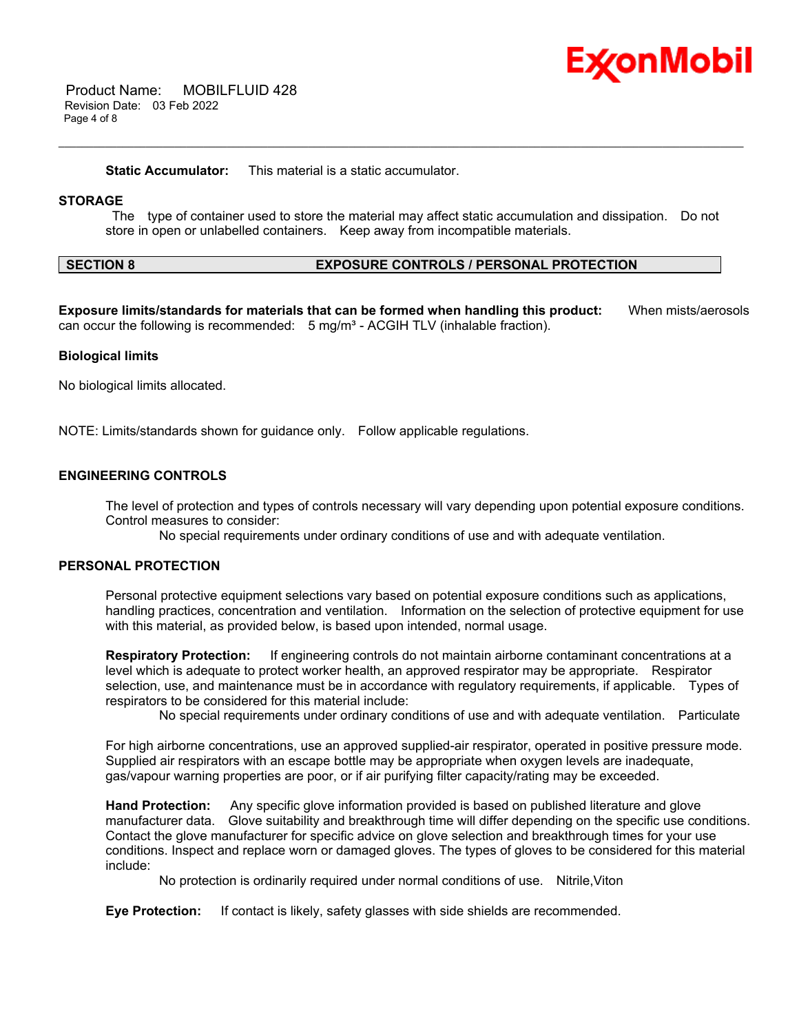# Ex⁄onMobil

 Product Name: MOBILFLUID 428 Revision Date: 03 Feb 2022 Page 4 of 8

**Static Accumulator:** This material is a static accumulator.

#### **STORAGE**

The type of container used to store the material may affect static accumulation and dissipation. Do not store in open or unlabelled containers. Keep away from incompatible materials.

\_\_\_\_\_\_\_\_\_\_\_\_\_\_\_\_\_\_\_\_\_\_\_\_\_\_\_\_\_\_\_\_\_\_\_\_\_\_\_\_\_\_\_\_\_\_\_\_\_\_\_\_\_\_\_\_\_\_\_\_\_\_\_\_\_\_\_\_\_\_\_\_\_\_\_\_\_\_\_\_\_\_\_\_\_\_\_\_\_\_\_\_\_\_\_\_\_\_\_\_\_\_\_\_\_\_\_\_\_\_\_\_\_\_\_\_\_\_

## **SECTION 8 EXPOSURE CONTROLS / PERSONAL PROTECTION**

**Exposure limits/standards for materials that can be formed when handling this product:** When mists/aerosols can occur the following is recommended:  $5 \text{ mg/m}^3$  - ACGIH TLV (inhalable fraction).

#### **Biological limits**

No biological limits allocated.

NOTE: Limits/standards shown for guidance only. Follow applicable regulations.

#### **ENGINEERING CONTROLS**

The level of protection and types of controls necessary will vary depending upon potential exposure conditions. Control measures to consider:

No special requirements under ordinary conditions of use and with adequate ventilation.

#### **PERSONAL PROTECTION**

Personal protective equipment selections vary based on potential exposure conditions such as applications, handling practices, concentration and ventilation. Information on the selection of protective equipment for use with this material, as provided below, is based upon intended, normal usage.

**Respiratory Protection:** If engineering controls do not maintain airborne contaminant concentrations at a level which is adequate to protect worker health, an approved respirator may be appropriate. Respirator selection, use, and maintenance must be in accordance with regulatory requirements, if applicable. Types of respirators to be considered for this material include:

No special requirements under ordinary conditions of use and with adequate ventilation. Particulate

For high airborne concentrations, use an approved supplied-air respirator, operated in positive pressure mode. Supplied air respirators with an escape bottle may be appropriate when oxygen levels are inadequate, gas/vapour warning properties are poor, or if air purifying filter capacity/rating may be exceeded.

**Hand Protection:** Any specific glove information provided is based on published literature and glove manufacturer data. Glove suitability and breakthrough time will differ depending on the specific use conditions. Contact the glove manufacturer for specific advice on glove selection and breakthrough times for your use conditions. Inspect and replace worn or damaged gloves. The types of gloves to be considered for this material include:

No protection is ordinarily required under normal conditions of use. Nitrile,Viton

**Eye Protection:** If contact is likely, safety glasses with side shields are recommended.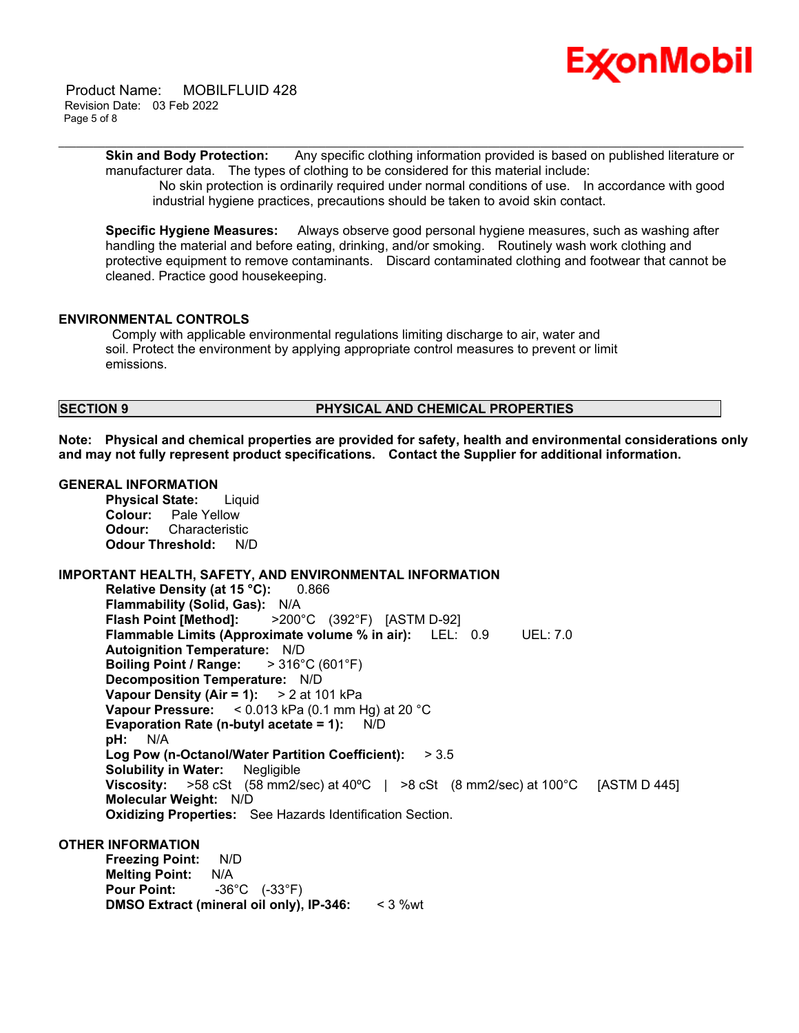

 Product Name: MOBILFLUID 428 Revision Date: 03 Feb 2022 Page 5 of 8

> **Skin and Body Protection:** Any specific clothing information provided is based on published literature or manufacturer data. The types of clothing to be considered for this material include:

\_\_\_\_\_\_\_\_\_\_\_\_\_\_\_\_\_\_\_\_\_\_\_\_\_\_\_\_\_\_\_\_\_\_\_\_\_\_\_\_\_\_\_\_\_\_\_\_\_\_\_\_\_\_\_\_\_\_\_\_\_\_\_\_\_\_\_\_\_\_\_\_\_\_\_\_\_\_\_\_\_\_\_\_\_\_\_\_\_\_\_\_\_\_\_\_\_\_\_\_\_\_\_\_\_\_\_\_\_\_\_\_\_\_\_\_\_\_

No skin protection is ordinarily required under normal conditions of use. In accordance with good industrial hygiene practices, precautions should be taken to avoid skin contact.

**Specific Hygiene Measures:** Always observe good personal hygiene measures, such as washing after handling the material and before eating, drinking, and/or smoking. Routinely wash work clothing and protective equipment to remove contaminants. Discard contaminated clothing and footwear that cannot be cleaned. Practice good housekeeping.

#### **ENVIRONMENTAL CONTROLS**

Comply with applicable environmental regulations limiting discharge to air, water and soil. Protect the environment by applying appropriate control measures to prevent or limit emissions.

#### **SECTION 9 PHYSICAL AND CHEMICAL PROPERTIES**

**Note: Physical and chemical properties are provided for safety, health and environmental considerations only and may not fully represent product specifications. Contact the Supplier for additional information.**

#### **GENERAL INFORMATION**

**Physical State:** Liquid **Colour:** Pale Yellow **Odour:** Characteristic **Odour Threshold:** N/D

#### **IMPORTANT HEALTH, SAFETY, AND ENVIRONMENTAL INFORMATION**

**Relative Density (at 15 °C):** 0.866 **Flammability (Solid, Gas):** N/A **Flash Point [Method]:** >200°C (392°F) [ASTM D-92] **Flammable Limits (Approximate volume % in air):** LEL: 0.9 UEL: 7.0 **Autoignition Temperature:** N/D **Boiling Point / Range:** > 316°C (601°F) **Decomposition Temperature:** N/D **Vapour Density (Air = 1):** > 2 at 101 kPa **Vapour Pressure:** < 0.013 kPa (0.1 mm Hg) at 20 °C **Evaporation Rate (n-butyl acetate = 1):** N/D **pH:** N/A **Log Pow (n-Octanol/Water Partition Coefficient):** > 3.5 **Solubility in Water:** Negligible **Viscosity:** >58 cSt (58 mm2/sec) at 40ºC | >8 cSt (8 mm2/sec) at 100°C [ASTM D 445] **Molecular Weight:** N/D **Oxidizing Properties:** See Hazards Identification Section.

#### **OTHER INFORMATION**

**Freezing Point:** N/D **Melting Point:** N/A **Pour Point:** -36°C (-33°F) **DMSO Extract (mineral oil only), IP-346:** < 3 %wt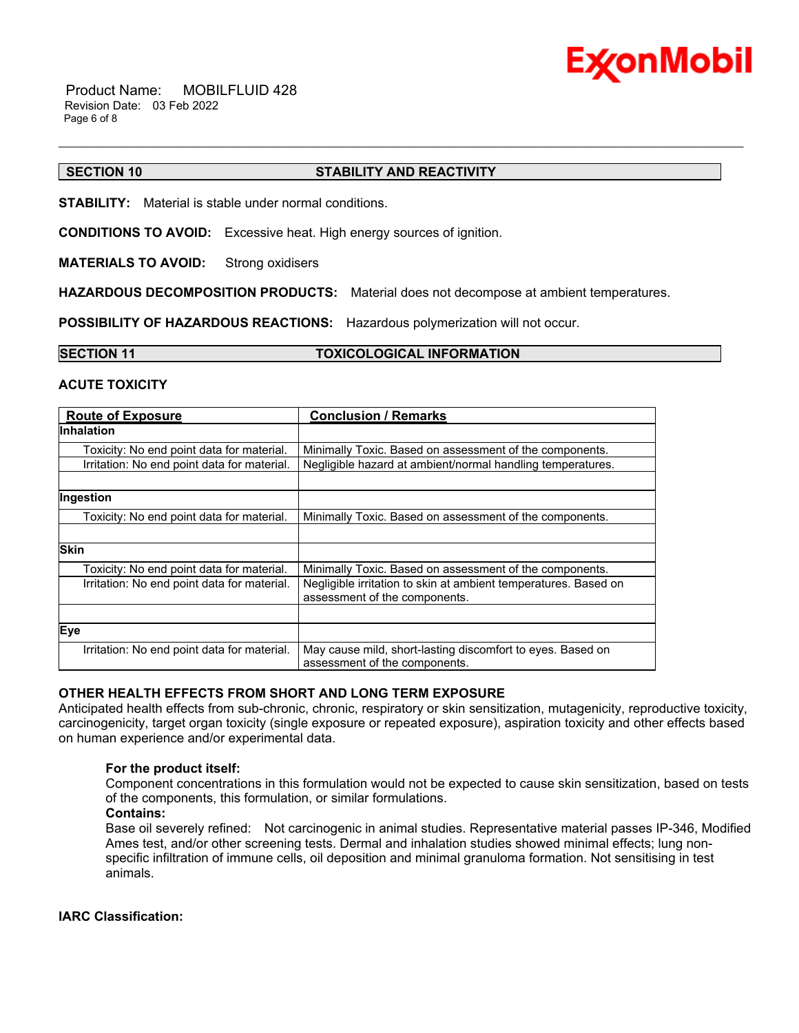

 Product Name: MOBILFLUID 428 Revision Date: 03 Feb 2022 Page 6 of 8

#### **SECTION 10 STABILITY AND REACTIVITY**

**STABILITY:** Material is stable under normal conditions.

**CONDITIONS TO AVOID:** Excessive heat. High energy sources of ignition.

**MATERIALS TO AVOID:** Strong oxidisers

**HAZARDOUS DECOMPOSITION PRODUCTS:** Material does not decompose at ambient temperatures.

\_\_\_\_\_\_\_\_\_\_\_\_\_\_\_\_\_\_\_\_\_\_\_\_\_\_\_\_\_\_\_\_\_\_\_\_\_\_\_\_\_\_\_\_\_\_\_\_\_\_\_\_\_\_\_\_\_\_\_\_\_\_\_\_\_\_\_\_\_\_\_\_\_\_\_\_\_\_\_\_\_\_\_\_\_\_\_\_\_\_\_\_\_\_\_\_\_\_\_\_\_\_\_\_\_\_\_\_\_\_\_\_\_\_\_\_\_\_

**POSSIBILITY OF HAZARDOUS REACTIONS:** Hazardous polymerization will not occur.

**SECTION 11 TOXICOLOGICAL INFORMATION**

#### **ACUTE TOXICITY**

| <b>Route of Exposure</b>                    | <b>Conclusion / Remarks</b>                                                                      |  |
|---------------------------------------------|--------------------------------------------------------------------------------------------------|--|
| <b>Inhalation</b>                           |                                                                                                  |  |
| Toxicity: No end point data for material.   | Minimally Toxic. Based on assessment of the components.                                          |  |
| Irritation: No end point data for material. | Negligible hazard at ambient/normal handling temperatures.                                       |  |
|                                             |                                                                                                  |  |
| Ingestion                                   |                                                                                                  |  |
| Toxicity: No end point data for material.   | Minimally Toxic. Based on assessment of the components.                                          |  |
|                                             |                                                                                                  |  |
| <b>Skin</b>                                 |                                                                                                  |  |
| Toxicity: No end point data for material.   | Minimally Toxic. Based on assessment of the components.                                          |  |
| Irritation: No end point data for material. | Negligible irritation to skin at ambient temperatures. Based on<br>assessment of the components. |  |
|                                             |                                                                                                  |  |
| Eye                                         |                                                                                                  |  |
| Irritation: No end point data for material. | May cause mild, short-lasting discomfort to eyes. Based on<br>assessment of the components.      |  |

#### **OTHER HEALTH EFFECTS FROM SHORT AND LONG TERM EXPOSURE**

Anticipated health effects from sub-chronic, chronic, respiratory or skin sensitization, mutagenicity, reproductive toxicity, carcinogenicity, target organ toxicity (single exposure or repeated exposure), aspiration toxicity and other effects based on human experience and/or experimental data.

#### **For the product itself:**

Component concentrations in this formulation would not be expected to cause skin sensitization, based on tests of the components, this formulation, or similar formulations.

**Contains:**

Base oil severely refined: Not carcinogenic in animal studies. Representative material passes IP-346, Modified Ames test, and/or other screening tests. Dermal and inhalation studies showed minimal effects; lung nonspecific infiltration of immune cells, oil deposition and minimal granuloma formation. Not sensitising in test animals.

#### **IARC Classification:**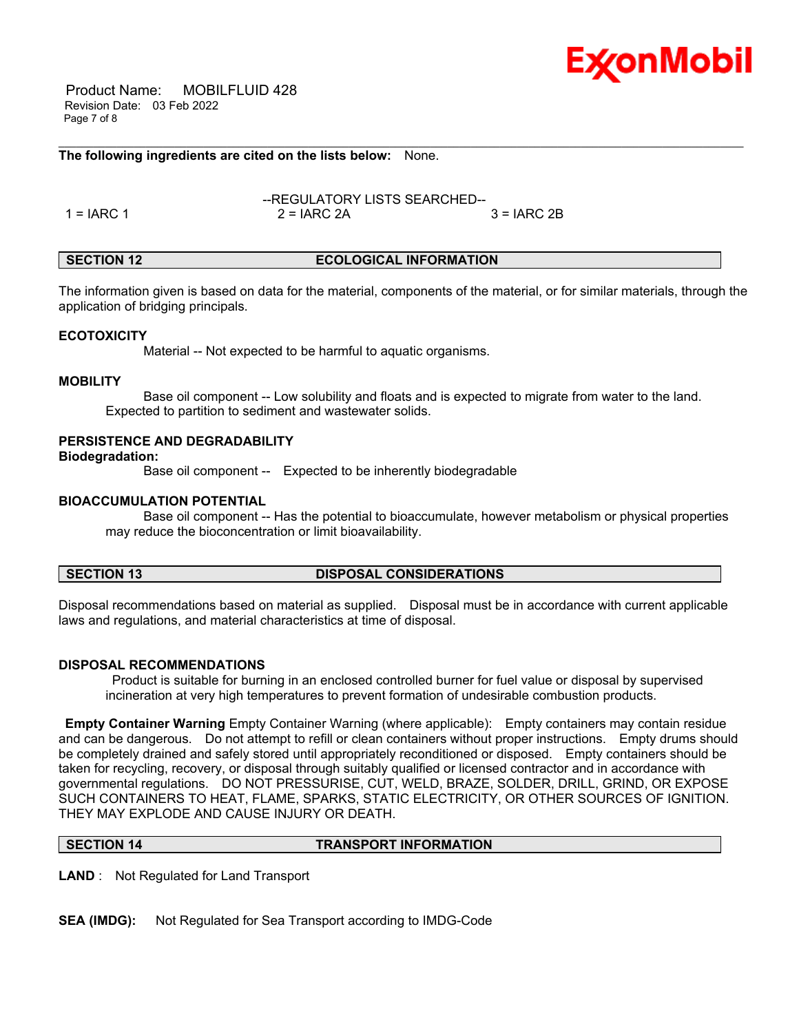

 Product Name: MOBILFLUID 428 Revision Date: 03 Feb 2022 Page 7 of 8

#### **The following ingredients are cited on the lists below:** None.

--REGULATORY LISTS SEARCHED--  $1 = IARC 1$  2 = IARC 2A  $3 = IARC 2B$ 

#### **SECTION 12 ECOLOGICAL INFORMATION**

\_\_\_\_\_\_\_\_\_\_\_\_\_\_\_\_\_\_\_\_\_\_\_\_\_\_\_\_\_\_\_\_\_\_\_\_\_\_\_\_\_\_\_\_\_\_\_\_\_\_\_\_\_\_\_\_\_\_\_\_\_\_\_\_\_\_\_\_\_\_\_\_\_\_\_\_\_\_\_\_\_\_\_\_\_\_\_\_\_\_\_\_\_\_\_\_\_\_\_\_\_\_\_\_\_\_\_\_\_\_\_\_\_\_\_\_\_\_

The information given is based on data for the material, components of the material, or for similar materials, through the application of bridging principals.

#### **ECOTOXICITY**

Material -- Not expected to be harmful to aquatic organisms.

#### **MOBILITY**

 Base oil component -- Low solubility and floats and is expected to migrate from water to the land. Expected to partition to sediment and wastewater solids.

#### **PERSISTENCE AND DEGRADABILITY**

**Biodegradation:**

Base oil component -- Expected to be inherently biodegradable

### **BIOACCUMULATION POTENTIAL**

 Base oil component -- Has the potential to bioaccumulate, however metabolism or physical properties may reduce the bioconcentration or limit bioavailability.

#### **SECTION 13 DISPOSAL CONSIDERATIONS**

Disposal recommendations based on material as supplied. Disposal must be in accordance with current applicable laws and regulations, and material characteristics at time of disposal.

#### **DISPOSAL RECOMMENDATIONS**

Product is suitable for burning in an enclosed controlled burner for fuel value or disposal by supervised incineration at very high temperatures to prevent formation of undesirable combustion products.

**Empty Container Warning** Empty Container Warning (where applicable): Empty containers may contain residue and can be dangerous. Do not attempt to refill or clean containers without proper instructions. Empty drums should be completely drained and safely stored until appropriately reconditioned or disposed. Empty containers should be taken for recycling, recovery, or disposal through suitably qualified or licensed contractor and in accordance with governmental regulations. DO NOT PRESSURISE, CUT, WELD, BRAZE, SOLDER, DRILL, GRIND, OR EXPOSE SUCH CONTAINERS TO HEAT, FLAME, SPARKS, STATIC ELECTRICITY, OR OTHER SOURCES OF IGNITION. THEY MAY EXPLODE AND CAUSE INJURY OR DEATH.

**SECTION 14 TRANSPORT INFORMATION**

**LAND** : Not Regulated for Land Transport

**SEA (IMDG):** Not Regulated for Sea Transport according to IMDG-Code